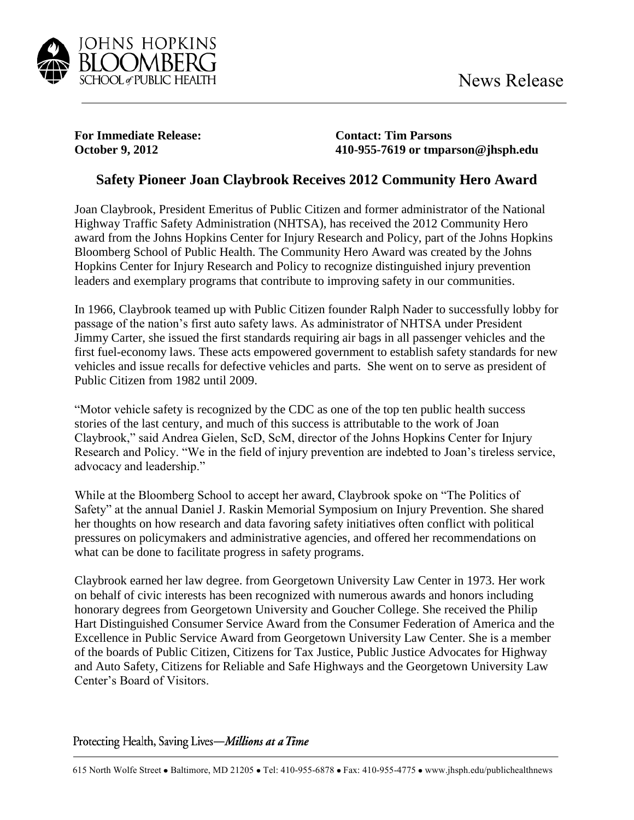

**For Immediate Release: Contact: Tim Parsons**

**October 9, 2012 410-955-7619 or tmparson@jhsph.edu**

## **Safety Pioneer Joan Claybrook Receives 2012 Community Hero Award**

Joan Claybrook, President Emeritus of Public Citizen and former administrator of the National Highway Traffic Safety Administration (NHTSA), has received the 2012 Community Hero award from the Johns Hopkins Center for Injury Research and Policy, part of the Johns Hopkins Bloomberg School of Public Health. The Community Hero Award was created by the Johns Hopkins Center for Injury Research and Policy to recognize distinguished injury prevention leaders and exemplary programs that contribute to improving safety in our communities.

In 1966, Claybrook teamed up with Public Citizen founder Ralph Nader to successfully lobby for passage of the nation's first auto safety laws. As administrator of NHTSA under President Jimmy Carter, she issued the first standards requiring air bags in all passenger vehicles and the first fuel-economy laws. These acts empowered government to establish safety standards for new vehicles and issue recalls for defective vehicles and parts. She went on to serve as president of Public Citizen from 1982 until 2009.

"Motor vehicle safety is recognized by the CDC as one of the top ten public health success stories of the last century, and much of this success is attributable to the work of Joan Claybrook," said Andrea Gielen, ScD, ScM, director of the Johns Hopkins Center for Injury Research and Policy. "We in the field of injury prevention are indebted to Joan's tireless service, advocacy and leadership."

While at the Bloomberg School to accept her award, Claybrook spoke on "The Politics of Safety" at the annual Daniel J. Raskin Memorial Symposium on Injury Prevention. She shared her thoughts on how research and data favoring safety initiatives often conflict with political pressures on policymakers and administrative agencies, and offered her recommendations on what can be done to facilitate progress in safety programs.

Claybrook earned her law degree. from Georgetown University Law Center in 1973. Her work on behalf of civic interests has been recognized with numerous awards and honors including honorary degrees from Georgetown University and Goucher College. She received the Philip Hart Distinguished Consumer Service Award from the Consumer Federation of America and the Excellence in Public Service Award from Georgetown University Law Center. She is a member of the boards of Public Citizen, Citizens for Tax Justice, Public Justice Advocates for Highway and Auto Safety, Citizens for Reliable and Safe Highways and the Georgetown University Law Center's Board of Visitors.

Protecting Health, Saving Lives-Millions at a Time